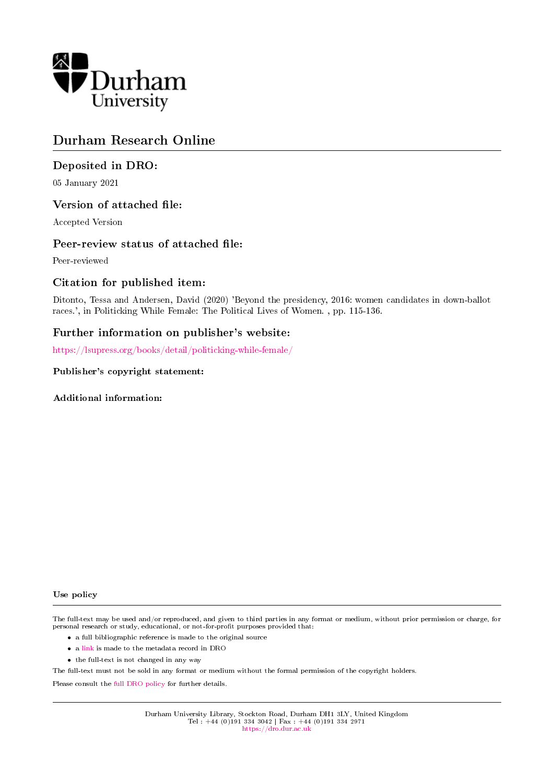

# Durham Research Online

# Deposited in DRO:

05 January 2021

# Version of attached file:

Accepted Version

# Peer-review status of attached file:

Peer-reviewed

# Citation for published item:

Ditonto, Tessa and Andersen, David (2020) 'Beyond the presidency, 2016: women candidates in down-ballot races.', in Politicking While Female: The Political Lives of Women. , pp. 115-136.

# Further information on publisher's website:

<https://lsupress.org/books/detail/politicking-while-female/>

### Publisher's copyright statement:

Additional information:

#### Use policy

The full-text may be used and/or reproduced, and given to third parties in any format or medium, without prior permission or charge, for personal research or study, educational, or not-for-profit purposes provided that:

- a full bibliographic reference is made to the original source
- a [link](http://dro.dur.ac.uk/32387/) is made to the metadata record in DRO
- the full-text is not changed in any way

The full-text must not be sold in any format or medium without the formal permission of the copyright holders.

Please consult the [full DRO policy](https://dro.dur.ac.uk/policies/usepolicy.pdf) for further details.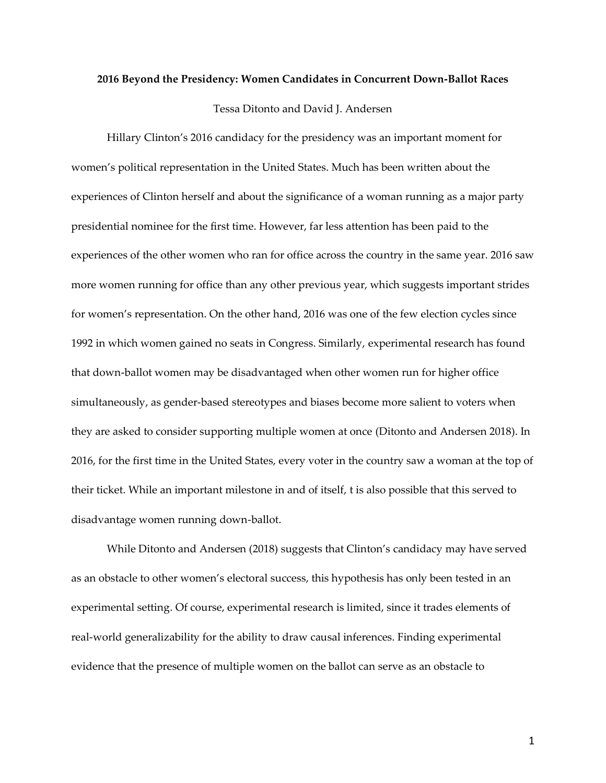#### **2016 Beyond the Presidency: Women Candidates in Concurrent Down-Ballot Races**

Tessa Ditonto and David J. Andersen

Hillary Clinton's 2016 candidacy for the presidency was an important moment for women's political representation in the United States. Much has been written about the experiences of Clinton herself and about the significance of a woman running as a major party presidential nominee for the first time. However, far less attention has been paid to the experiences of the other women who ran for office across the country in the same year. 2016 saw more women running for office than any other previous year, which suggests important strides for women's representation. On the other hand, 2016 was one of the few election cycles since 1992 in which women gained no seats in Congress. Similarly, experimental research has found that down-ballot women may be disadvantaged when other women run for higher office simultaneously, as gender-based stereotypes and biases become more salient to voters when they are asked to consider supporting multiple women at once (Ditonto and Andersen 2018). In 2016, for the first time in the United States, every voter in the country saw a woman at the top of their ticket. While an important milestone in and of itself, t is also possible that this served to disadvantage women running down-ballot.

While Ditonto and Andersen (2018) suggests that Clinton's candidacy may have served as an obstacle to other women's electoral success, this hypothesis has only been tested in an experimental setting. Of course, experimental research is limited, since it trades elements of real-world generalizability for the ability to draw causal inferences. Finding experimental evidence that the presence of multiple women on the ballot can serve as an obstacle to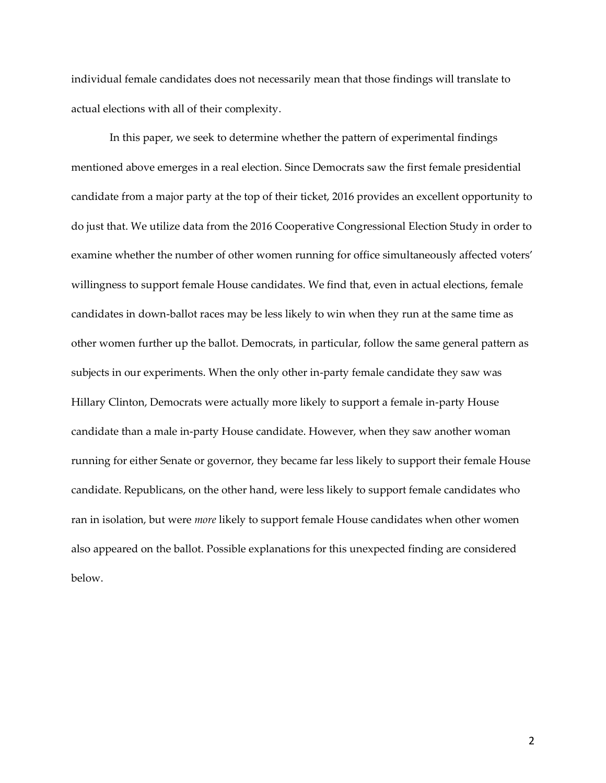individual female candidates does not necessarily mean that those findings will translate to actual elections with all of their complexity.

In this paper, we seek to determine whether the pattern of experimental findings mentioned above emerges in a real election. Since Democrats saw the first female presidential candidate from a major party at the top of their ticket, 2016 provides an excellent opportunity to do just that. We utilize data from the 2016 Cooperative Congressional Election Study in order to examine whether the number of other women running for office simultaneously affected voters' willingness to support female House candidates. We find that, even in actual elections, female candidates in down-ballot races may be less likely to win when they run at the same time as other women further up the ballot. Democrats, in particular, follow the same general pattern as subjects in our experiments. When the only other in-party female candidate they saw was Hillary Clinton, Democrats were actually more likely to support a female in-party House candidate than a male in-party House candidate. However, when they saw another woman running for either Senate or governor, they became far less likely to support their female House candidate. Republicans, on the other hand, were less likely to support female candidates who ran in isolation, but were *more* likely to support female House candidates when other women also appeared on the ballot. Possible explanations for this unexpected finding are considered below.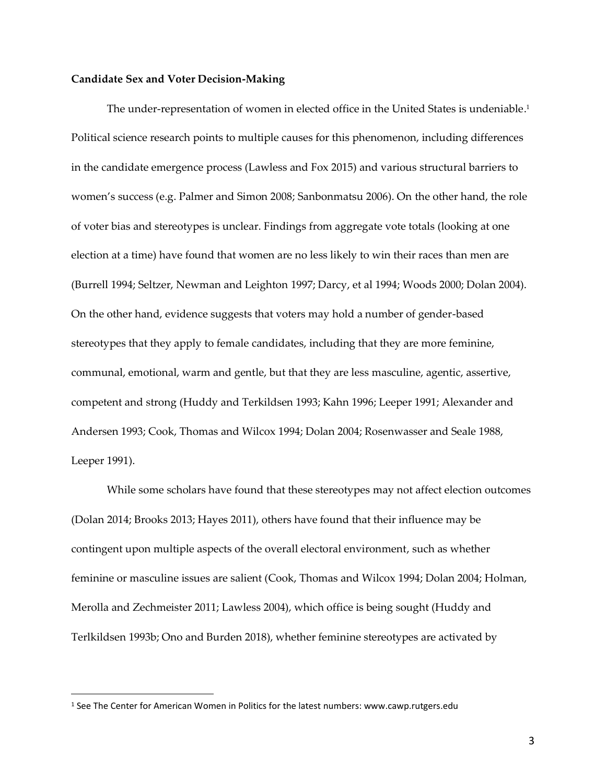#### **Candidate Sex and Voter Decision-Making**

The under-representation of women in elected office in the United States is undeniable. 1 Political science research points to multiple causes for this phenomenon, including differences in the candidate emergence process (Lawless and Fox 2015) and various structural barriers to women's success (e.g. Palmer and Simon 2008; Sanbonmatsu 2006). On the other hand, the role of voter bias and stereotypes is unclear. Findings from aggregate vote totals (looking at one election at a time) have found that women are no less likely to win their races than men are (Burrell 1994; Seltzer, Newman and Leighton 1997; Darcy, et al 1994; Woods 2000; Dolan 2004). On the other hand, evidence suggests that voters may hold a number of gender-based stereotypes that they apply to female candidates, including that they are more feminine, communal, emotional, warm and gentle, but that they are less masculine, agentic, assertive, competent and strong (Huddy and Terkildsen 1993; Kahn 1996; Leeper 1991; Alexander and Andersen 1993; Cook, Thomas and Wilcox 1994; Dolan 2004; Rosenwasser and Seale 1988, Leeper 1991).

While some scholars have found that these stereotypes may not affect election outcomes (Dolan 2014; Brooks 2013; Hayes 2011), others have found that their influence may be contingent upon multiple aspects of the overall electoral environment, such as whether feminine or masculine issues are salient (Cook, Thomas and Wilcox 1994; Dolan 2004; Holman, Merolla and Zechmeister 2011; Lawless 2004), which office is being sought (Huddy and Terlkildsen 1993b; Ono and Burden 2018), whether feminine stereotypes are activated by

<sup>1</sup> See The Center for American Women in Politics for the latest numbers: www.cawp.rutgers.edu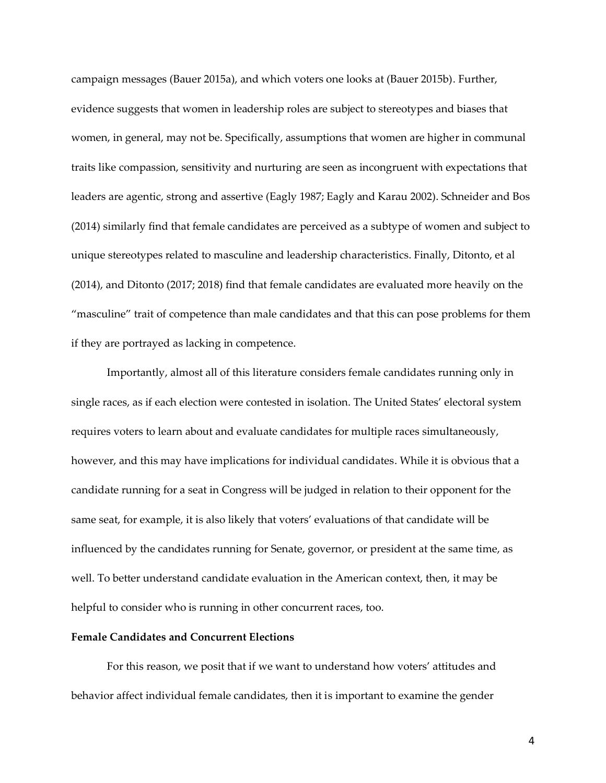campaign messages (Bauer 2015a), and which voters one looks at (Bauer 2015b). Further, evidence suggests that women in leadership roles are subject to stereotypes and biases that women, in general, may not be. Specifically, assumptions that women are higher in communal traits like compassion, sensitivity and nurturing are seen as incongruent with expectations that leaders are agentic, strong and assertive (Eagly 1987; Eagly and Karau 2002). Schneider and Bos (2014) similarly find that female candidates are perceived as a subtype of women and subject to unique stereotypes related to masculine and leadership characteristics. Finally, Ditonto, et al (2014), and Ditonto (2017; 2018) find that female candidates are evaluated more heavily on the "masculine" trait of competence than male candidates and that this can pose problems for them if they are portrayed as lacking in competence.

Importantly, almost all of this literature considers female candidates running only in single races, as if each election were contested in isolation. The United States' electoral system requires voters to learn about and evaluate candidates for multiple races simultaneously, however, and this may have implications for individual candidates. While it is obvious that a candidate running for a seat in Congress will be judged in relation to their opponent for the same seat, for example, it is also likely that voters' evaluations of that candidate will be influenced by the candidates running for Senate, governor, or president at the same time, as well. To better understand candidate evaluation in the American context, then, it may be helpful to consider who is running in other concurrent races, too.

### **Female Candidates and Concurrent Elections**

For this reason, we posit that if we want to understand how voters' attitudes and behavior affect individual female candidates, then it is important to examine the gender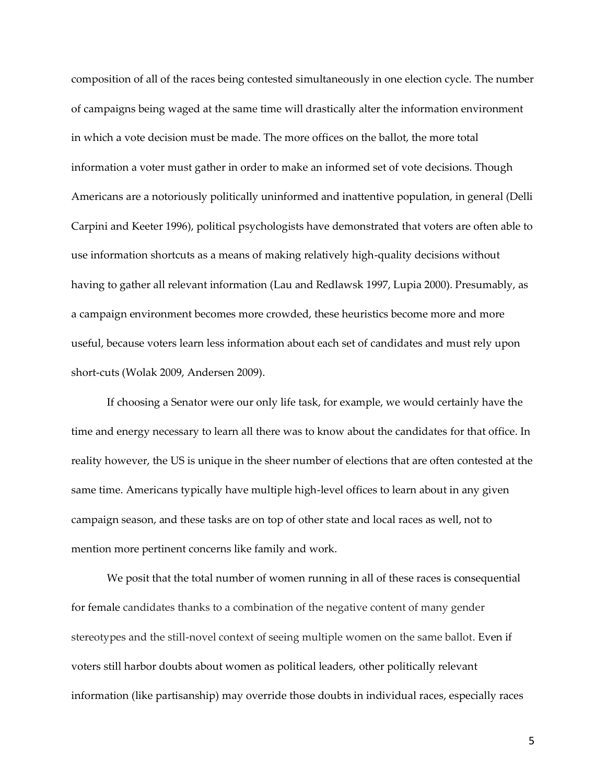composition of all of the races being contested simultaneously in one election cycle. The number of campaigns being waged at the same time will drastically alter the information environment in which a vote decision must be made. The more offices on the ballot, the more total information a voter must gather in order to make an informed set of vote decisions. Though Americans are a notoriously politically uninformed and inattentive population, in general (Delli Carpini and Keeter 1996), political psychologists have demonstrated that voters are often able to use information shortcuts as a means of making relatively high-quality decisions without having to gather all relevant information (Lau and Redlawsk 1997, Lupia 2000). Presumably, as a campaign environment becomes more crowded, these heuristics become more and more useful, because voters learn less information about each set of candidates and must rely upon short-cuts (Wolak 2009, Andersen 2009).

If choosing a Senator were our only life task, for example, we would certainly have the time and energy necessary to learn all there was to know about the candidates for that office. In reality however, the US is unique in the sheer number of elections that are often contested at the same time. Americans typically have multiple high-level offices to learn about in any given campaign season, and these tasks are on top of other state and local races as well, not to mention more pertinent concerns like family and work.

We posit that the total number of women running in all of these races is consequential for female candidates thanks to a combination of the negative content of many gender stereotypes and the still-novel context of seeing multiple women on the same ballot. Even if voters still harbor doubts about women as political leaders, other politically relevant information (like partisanship) may override those doubts in individual races, especially races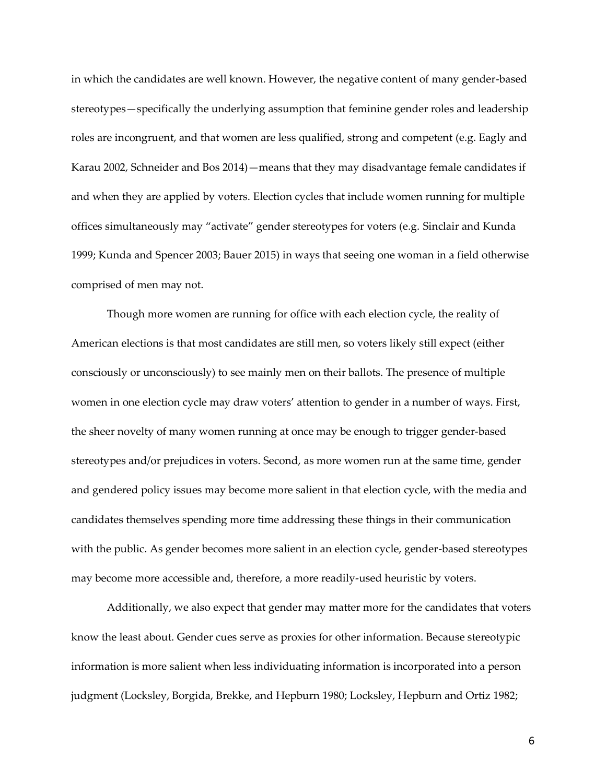in which the candidates are well known. However, the negative content of many gender-based stereotypes—specifically the underlying assumption that feminine gender roles and leadership roles are incongruent, and that women are less qualified, strong and competent (e.g. Eagly and Karau 2002, Schneider and Bos 2014)—means that they may disadvantage female candidates if and when they are applied by voters. Election cycles that include women running for multiple offices simultaneously may "activate" gender stereotypes for voters (e.g. Sinclair and Kunda 1999; Kunda and Spencer 2003; Bauer 2015) in ways that seeing one woman in a field otherwise comprised of men may not.

Though more women are running for office with each election cycle, the reality of American elections is that most candidates are still men, so voters likely still expect (either consciously or unconsciously) to see mainly men on their ballots. The presence of multiple women in one election cycle may draw voters' attention to gender in a number of ways. First, the sheer novelty of many women running at once may be enough to trigger gender-based stereotypes and/or prejudices in voters. Second, as more women run at the same time, gender and gendered policy issues may become more salient in that election cycle, with the media and candidates themselves spending more time addressing these things in their communication with the public. As gender becomes more salient in an election cycle, gender-based stereotypes may become more accessible and, therefore, a more readily-used heuristic by voters.

Additionally, we also expect that gender may matter more for the candidates that voters know the least about. Gender cues serve as proxies for other information. Because stereotypic information is more salient when less individuating information is incorporated into a person judgment (Locksley, Borgida, Brekke, and Hepburn 1980; Locksley, Hepburn and Ortiz 1982;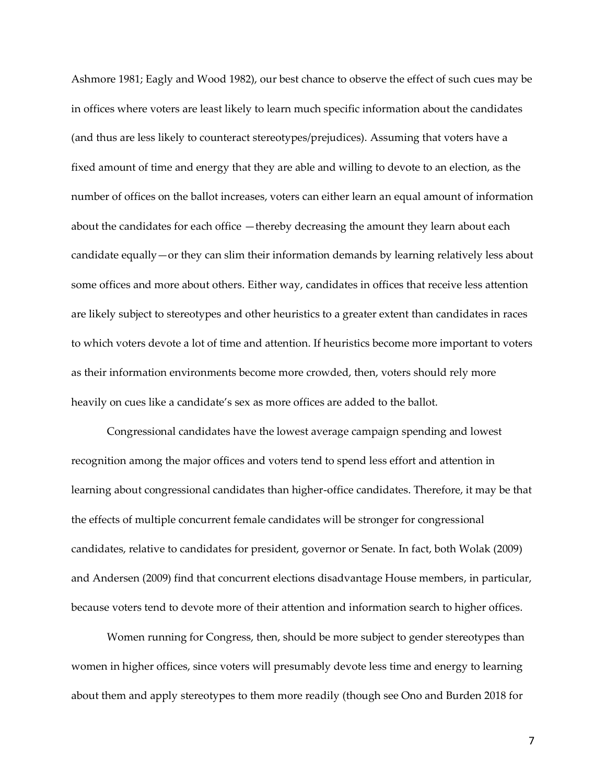Ashmore 1981; Eagly and Wood 1982), our best chance to observe the effect of such cues may be in offices where voters are least likely to learn much specific information about the candidates (and thus are less likely to counteract stereotypes/prejudices). Assuming that voters have a fixed amount of time and energy that they are able and willing to devote to an election, as the number of offices on the ballot increases, voters can either learn an equal amount of information about the candidates for each office —thereby decreasing the amount they learn about each candidate equally—or they can slim their information demands by learning relatively less about some offices and more about others. Either way, candidates in offices that receive less attention are likely subject to stereotypes and other heuristics to a greater extent than candidates in races to which voters devote a lot of time and attention. If heuristics become more important to voters as their information environments become more crowded, then, voters should rely more heavily on cues like a candidate's sex as more offices are added to the ballot.

Congressional candidates have the lowest average campaign spending and lowest recognition among the major offices and voters tend to spend less effort and attention in learning about congressional candidates than higher-office candidates. Therefore, it may be that the effects of multiple concurrent female candidates will be stronger for congressional candidates, relative to candidates for president, governor or Senate. In fact, both Wolak (2009) and Andersen (2009) find that concurrent elections disadvantage House members, in particular, because voters tend to devote more of their attention and information search to higher offices.

Women running for Congress, then, should be more subject to gender stereotypes than women in higher offices, since voters will presumably devote less time and energy to learning about them and apply stereotypes to them more readily (though see Ono and Burden 2018 for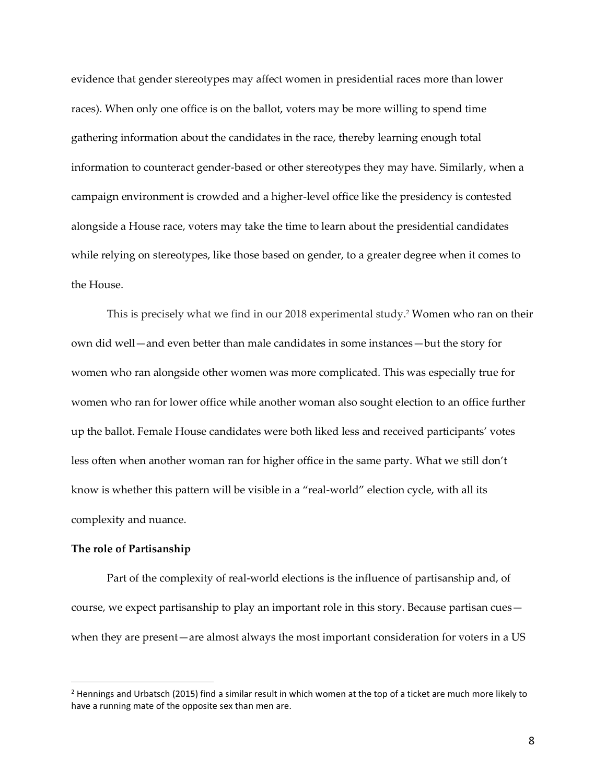evidence that gender stereotypes may affect women in presidential races more than lower races). When only one office is on the ballot, voters may be more willing to spend time gathering information about the candidates in the race, thereby learning enough total information to counteract gender-based or other stereotypes they may have. Similarly, when a campaign environment is crowded and a higher-level office like the presidency is contested alongside a House race, voters may take the time to learn about the presidential candidates while relying on stereotypes, like those based on gender, to a greater degree when it comes to the House.

This is precisely what we find in our 2018 experimental study.<sup>2</sup> Women who ran on their own did well—and even better than male candidates in some instances—but the story for women who ran alongside other women was more complicated. This was especially true for women who ran for lower office while another woman also sought election to an office further up the ballot. Female House candidates were both liked less and received participants' votes less often when another woman ran for higher office in the same party. What we still don't know is whether this pattern will be visible in a "real-world" election cycle, with all its complexity and nuance.

#### **The role of Partisanship**

Part of the complexity of real-world elections is the influence of partisanship and, of course, we expect partisanship to play an important role in this story. Because partisan cues when they are present—are almost always the most important consideration for voters in a US

<sup>&</sup>lt;sup>2</sup> Hennings and Urbatsch (2015) find a similar result in which women at the top of a ticket are much more likely to have a running mate of the opposite sex than men are.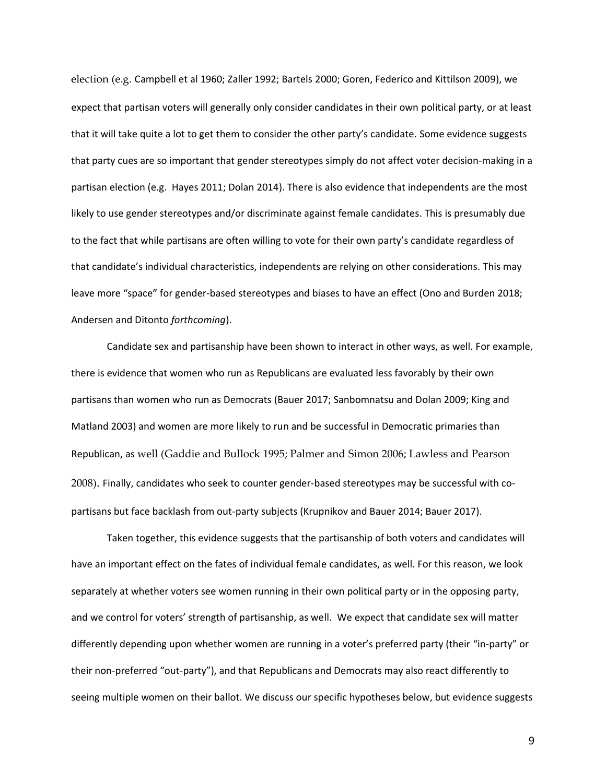election (e.g. Campbell et al 1960; Zaller 1992; Bartels 2000; Goren, Federico and Kittilson 2009), we expect that partisan voters will generally only consider candidates in their own political party, or at least that it will take quite a lot to get them to consider the other party's candidate. Some evidence suggests that party cues are so important that gender stereotypes simply do not affect voter decision-making in a partisan election (e.g. Hayes 2011; Dolan 2014). There is also evidence that independents are the most likely to use gender stereotypes and/or discriminate against female candidates. This is presumably due to the fact that while partisans are often willing to vote for their own party's candidate regardless of that candidate's individual characteristics, independents are relying on other considerations. This may leave more "space" for gender-based stereotypes and biases to have an effect (Ono and Burden 2018; Andersen and Ditonto *forthcoming*).

Candidate sex and partisanship have been shown to interact in other ways, as well. For example, there is evidence that women who run as Republicans are evaluated less favorably by their own partisans than women who run as Democrats (Bauer 2017; Sanbomnatsu and Dolan 2009; King and Matland 2003) and women are more likely to run and be successful in Democratic primaries than Republican, as well (Gaddie and Bullock 1995; Palmer and Simon 2006; Lawless and Pearson 2008). Finally, candidates who seek to counter gender-based stereotypes may be successful with copartisans but face backlash from out-party subjects (Krupnikov and Bauer 2014; Bauer 2017).

Taken together, this evidence suggests that the partisanship of both voters and candidates will have an important effect on the fates of individual female candidates, as well. For this reason, we look separately at whether voters see women running in their own political party or in the opposing party, and we control for voters' strength of partisanship, as well. We expect that candidate sex will matter differently depending upon whether women are running in a voter's preferred party (their "in-party" or their non-preferred "out-party"), and that Republicans and Democrats may also react differently to seeing multiple women on their ballot. We discuss our specific hypotheses below, but evidence suggests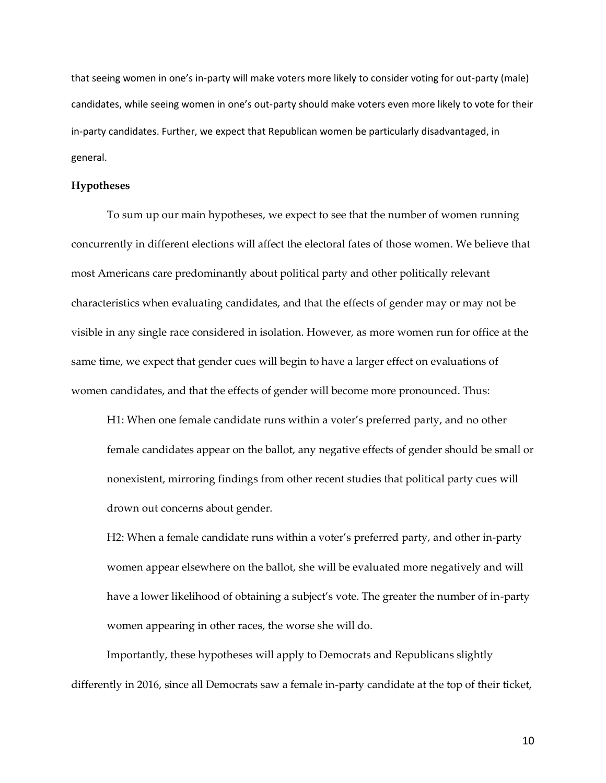that seeing women in one's in-party will make voters more likely to consider voting for out-party (male) candidates, while seeing women in one's out-party should make voters even more likely to vote for their in-party candidates. Further, we expect that Republican women be particularly disadvantaged, in general.

#### **Hypotheses**

To sum up our main hypotheses, we expect to see that the number of women running concurrently in different elections will affect the electoral fates of those women. We believe that most Americans care predominantly about political party and other politically relevant characteristics when evaluating candidates, and that the effects of gender may or may not be visible in any single race considered in isolation. However, as more women run for office at the same time, we expect that gender cues will begin to have a larger effect on evaluations of women candidates, and that the effects of gender will become more pronounced. Thus:

H1: When one female candidate runs within a voter's preferred party, and no other female candidates appear on the ballot, any negative effects of gender should be small or nonexistent, mirroring findings from other recent studies that political party cues will drown out concerns about gender.

H2: When a female candidate runs within a voter's preferred party, and other in-party women appear elsewhere on the ballot, she will be evaluated more negatively and will have a lower likelihood of obtaining a subject's vote. The greater the number of in-party women appearing in other races, the worse she will do.

Importantly, these hypotheses will apply to Democrats and Republicans slightly differently in 2016, since all Democrats saw a female in-party candidate at the top of their ticket,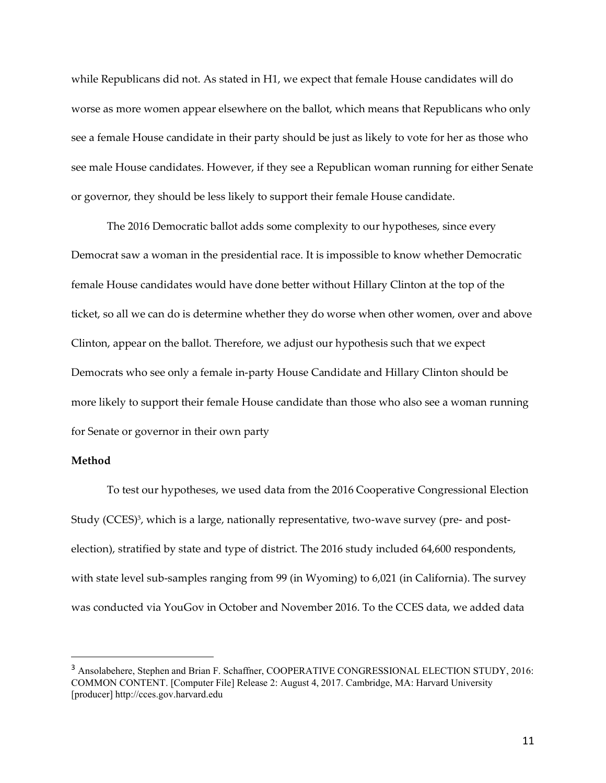while Republicans did not. As stated in H1, we expect that female House candidates will do worse as more women appear elsewhere on the ballot, which means that Republicans who only see a female House candidate in their party should be just as likely to vote for her as those who see male House candidates. However, if they see a Republican woman running for either Senate or governor, they should be less likely to support their female House candidate.

The 2016 Democratic ballot adds some complexity to our hypotheses, since every Democrat saw a woman in the presidential race. It is impossible to know whether Democratic female House candidates would have done better without Hillary Clinton at the top of the ticket, so all we can do is determine whether they do worse when other women, over and above Clinton, appear on the ballot. Therefore, we adjust our hypothesis such that we expect Democrats who see only a female in-party House Candidate and Hillary Clinton should be more likely to support their female House candidate than those who also see a woman running for Senate or governor in their own party

# **Method**

To test our hypotheses, we used data from the 2016 Cooperative Congressional Election Study (CCES)<sup>3</sup>, which is a large, nationally representative, two-wave survey (pre- and postelection), stratified by state and type of district. The 2016 study included 64,600 respondents, with state level sub-samples ranging from 99 (in Wyoming) to 6,021 (in California). The survey was conducted via YouGov in October and November 2016. To the CCES data, we added data

<sup>&</sup>lt;sup>3</sup> Ansolabehere, Stephen and Brian F. Schaffner, COOPERATIVE CONGRESSIONAL ELECTION STUDY, 2016: COMMON CONTENT. [Computer File] Release 2: August 4, 2017. Cambridge, MA: Harvard University [producer] http://cces.gov.harvard.edu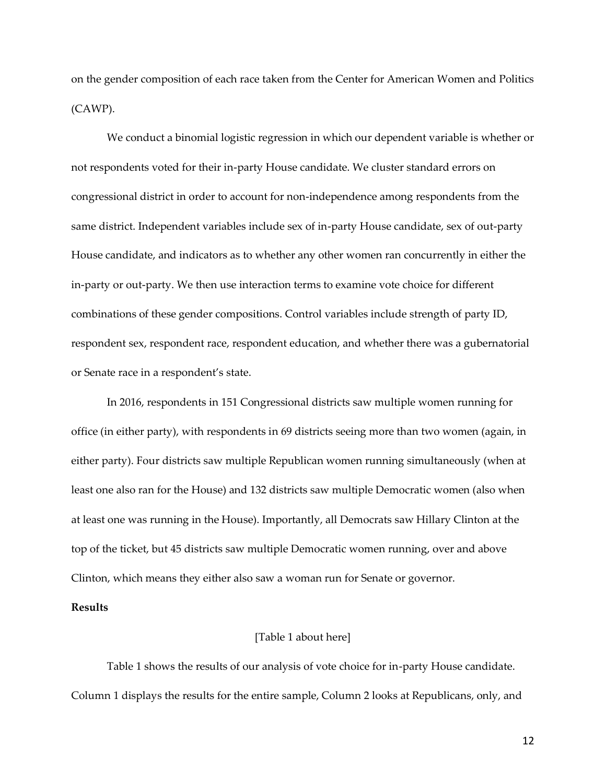on the gender composition of each race taken from the Center for American Women and Politics (CAWP).

We conduct a binomial logistic regression in which our dependent variable is whether or not respondents voted for their in-party House candidate. We cluster standard errors on congressional district in order to account for non-independence among respondents from the same district. Independent variables include sex of in-party House candidate, sex of out-party House candidate, and indicators as to whether any other women ran concurrently in either the in-party or out-party. We then use interaction terms to examine vote choice for different combinations of these gender compositions. Control variables include strength of party ID, respondent sex, respondent race, respondent education, and whether there was a gubernatorial or Senate race in a respondent's state.

In 2016, respondents in 151 Congressional districts saw multiple women running for office (in either party), with respondents in 69 districts seeing more than two women (again, in either party). Four districts saw multiple Republican women running simultaneously (when at least one also ran for the House) and 132 districts saw multiple Democratic women (also when at least one was running in the House). Importantly, all Democrats saw Hillary Clinton at the top of the ticket, but 45 districts saw multiple Democratic women running, over and above Clinton, which means they either also saw a woman run for Senate or governor.

### **Results**

#### [Table 1 about here]

Table 1 shows the results of our analysis of vote choice for in-party House candidate. Column 1 displays the results for the entire sample, Column 2 looks at Republicans, only, and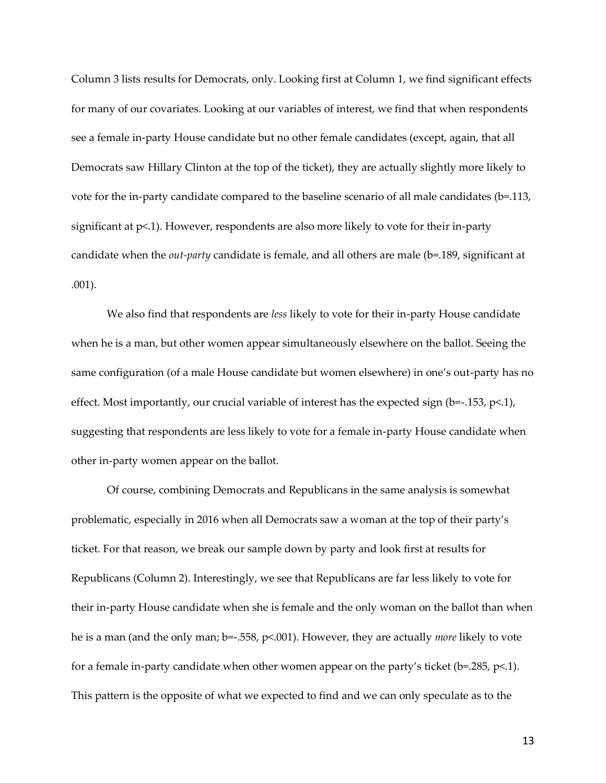Column 3 lists results for Democrats, only. Looking first at Column 1, we find significant effects for many of our covariates. Looking at our variables of interest, we find that when respondents see a female in-party House candidate but no other female candidates (except, again, that all Democrats saw Hillary Clinton at the top of the ticket), they are actually slightly more likely to vote for the in-party candidate compared to the baseline scenario of all male candidates (b=.113, significant at  $p<1$ ). However, respondents are also more likely to vote for their in-party candidate when the *out-party* candidate is female, and all others are male (b=.189, significant at .001).

We also find that respondents are *less* likely to vote for their in-party House candidate when he is a man, but other women appear simultaneously elsewhere on the ballot. Seeing the same configuration (of a male House candidate but women elsewhere) in one's out-party has no effect. Most importantly, our crucial variable of interest has the expected sign (b=-.153, p<.1), suggesting that respondents are less likely to vote for a female in-party House candidate when other in-party women appear on the ballot.

Of course, combining Democrats and Republicans in the same analysis is somewhat problematic, especially in 2016 when all Democrats saw a woman at the top of their party's ticket. For that reason, we break our sample down by party and look first at results for Republicans (Column 2). Interestingly, we see that Republicans are far less likely to vote for their in-party House candidate when she is female and the only woman on the ballot than when he is a man (and the only man; b=-.558, p<.001). However, they are actually *more* likely to vote for a female in-party candidate when other women appear on the party's ticket ( $b$ =.285,  $p$ <.1). This pattern is the opposite of what we expected to find and we can only speculate as to the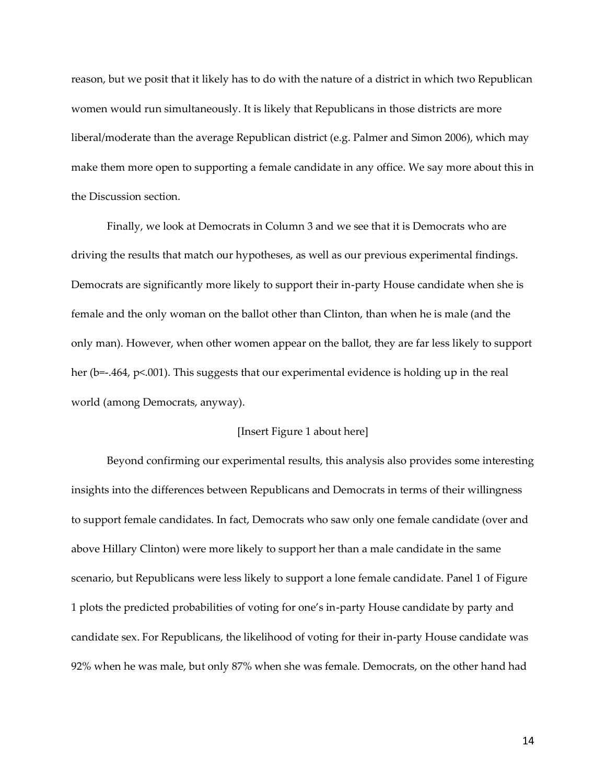reason, but we posit that it likely has to do with the nature of a district in which two Republican women would run simultaneously. It is likely that Republicans in those districts are more liberal/moderate than the average Republican district (e.g. Palmer and Simon 2006), which may make them more open to supporting a female candidate in any office. We say more about this in the Discussion section.

Finally, we look at Democrats in Column 3 and we see that it is Democrats who are driving the results that match our hypotheses, as well as our previous experimental findings. Democrats are significantly more likely to support their in-party House candidate when she is female and the only woman on the ballot other than Clinton, than when he is male (and the only man). However, when other women appear on the ballot, they are far less likely to support her (b=-.464,  $p<.001$ ). This suggests that our experimental evidence is holding up in the real world (among Democrats, anyway).

### [Insert Figure 1 about here]

Beyond confirming our experimental results, this analysis also provides some interesting insights into the differences between Republicans and Democrats in terms of their willingness to support female candidates. In fact, Democrats who saw only one female candidate (over and above Hillary Clinton) were more likely to support her than a male candidate in the same scenario, but Republicans were less likely to support a lone female candidate. Panel 1 of Figure 1 plots the predicted probabilities of voting for one's in-party House candidate by party and candidate sex. For Republicans, the likelihood of voting for their in-party House candidate was 92% when he was male, but only 87% when she was female. Democrats, on the other hand had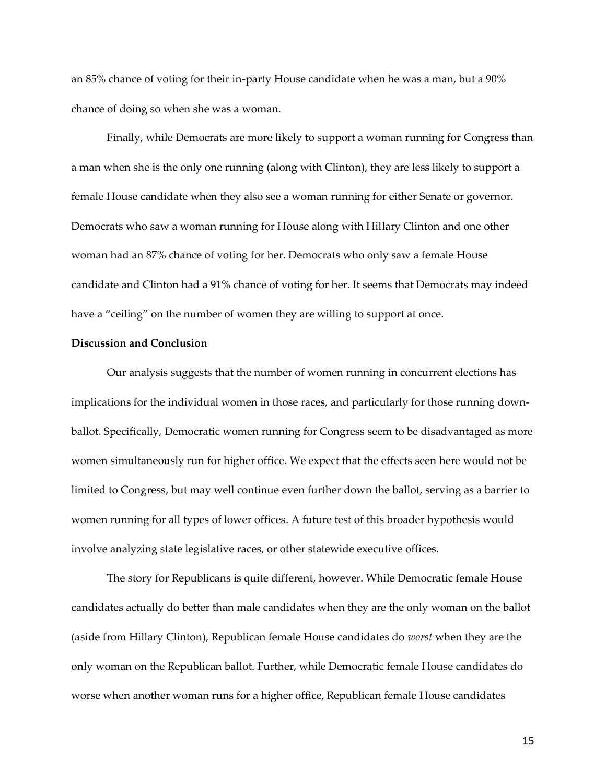an 85% chance of voting for their in-party House candidate when he was a man, but a 90% chance of doing so when she was a woman.

Finally, while Democrats are more likely to support a woman running for Congress than a man when she is the only one running (along with Clinton), they are less likely to support a female House candidate when they also see a woman running for either Senate or governor. Democrats who saw a woman running for House along with Hillary Clinton and one other woman had an 87% chance of voting for her. Democrats who only saw a female House candidate and Clinton had a 91% chance of voting for her. It seems that Democrats may indeed have a "ceiling" on the number of women they are willing to support at once.

### **Discussion and Conclusion**

Our analysis suggests that the number of women running in concurrent elections has implications for the individual women in those races, and particularly for those running downballot. Specifically, Democratic women running for Congress seem to be disadvantaged as more women simultaneously run for higher office. We expect that the effects seen here would not be limited to Congress, but may well continue even further down the ballot, serving as a barrier to women running for all types of lower offices. A future test of this broader hypothesis would involve analyzing state legislative races, or other statewide executive offices.

The story for Republicans is quite different, however. While Democratic female House candidates actually do better than male candidates when they are the only woman on the ballot (aside from Hillary Clinton), Republican female House candidates do *worst* when they are the only woman on the Republican ballot. Further, while Democratic female House candidates do worse when another woman runs for a higher office, Republican female House candidates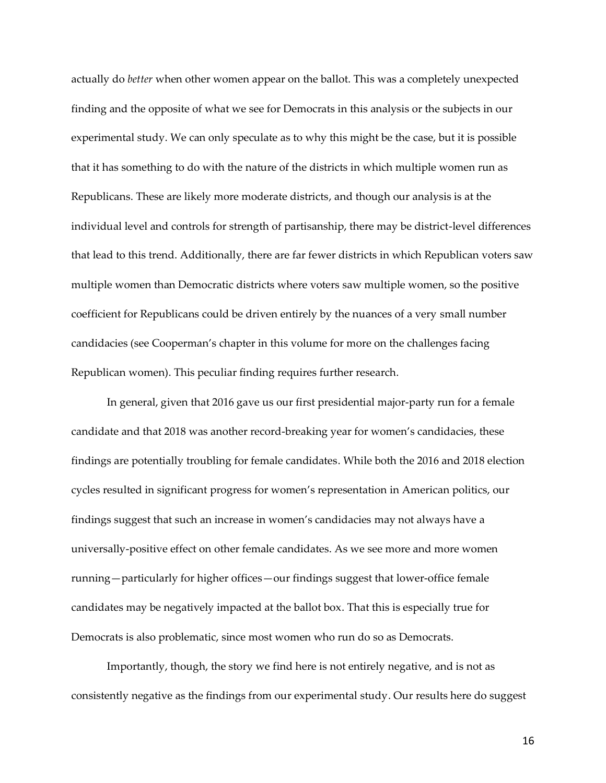actually do *better* when other women appear on the ballot. This was a completely unexpected finding and the opposite of what we see for Democrats in this analysis or the subjects in our experimental study. We can only speculate as to why this might be the case, but it is possible that it has something to do with the nature of the districts in which multiple women run as Republicans. These are likely more moderate districts, and though our analysis is at the individual level and controls for strength of partisanship, there may be district-level differences that lead to this trend. Additionally, there are far fewer districts in which Republican voters saw multiple women than Democratic districts where voters saw multiple women, so the positive coefficient for Republicans could be driven entirely by the nuances of a very small number candidacies (see Cooperman's chapter in this volume for more on the challenges facing Republican women). This peculiar finding requires further research.

In general, given that 2016 gave us our first presidential major-party run for a female candidate and that 2018 was another record-breaking year for women's candidacies, these findings are potentially troubling for female candidates. While both the 2016 and 2018 election cycles resulted in significant progress for women's representation in American politics, our findings suggest that such an increase in women's candidacies may not always have a universally-positive effect on other female candidates. As we see more and more women running—particularly for higher offices—our findings suggest that lower-office female candidates may be negatively impacted at the ballot box. That this is especially true for Democrats is also problematic, since most women who run do so as Democrats.

Importantly, though, the story we find here is not entirely negative, and is not as consistently negative as the findings from our experimental study. Our results here do suggest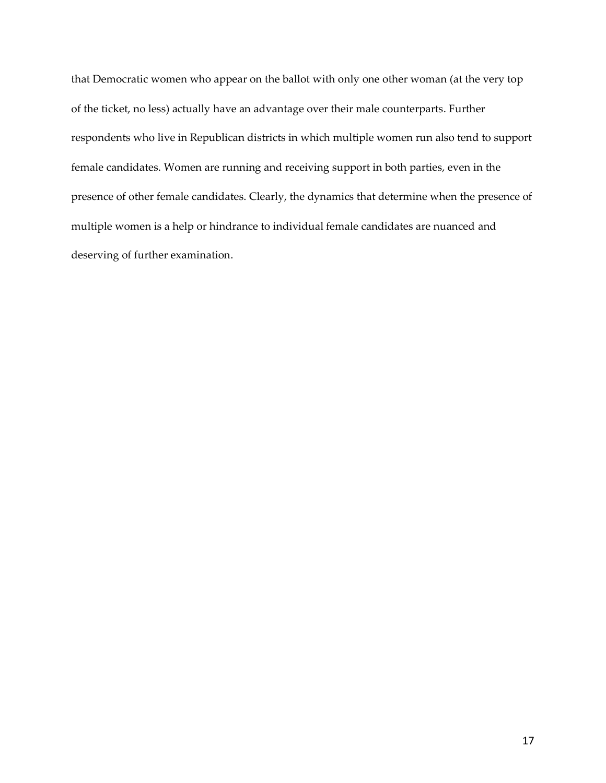that Democratic women who appear on the ballot with only one other woman (at the very top of the ticket, no less) actually have an advantage over their male counterparts. Further respondents who live in Republican districts in which multiple women run also tend to support female candidates. Women are running and receiving support in both parties, even in the presence of other female candidates. Clearly, the dynamics that determine when the presence of multiple women is a help or hindrance to individual female candidates are nuanced and deserving of further examination.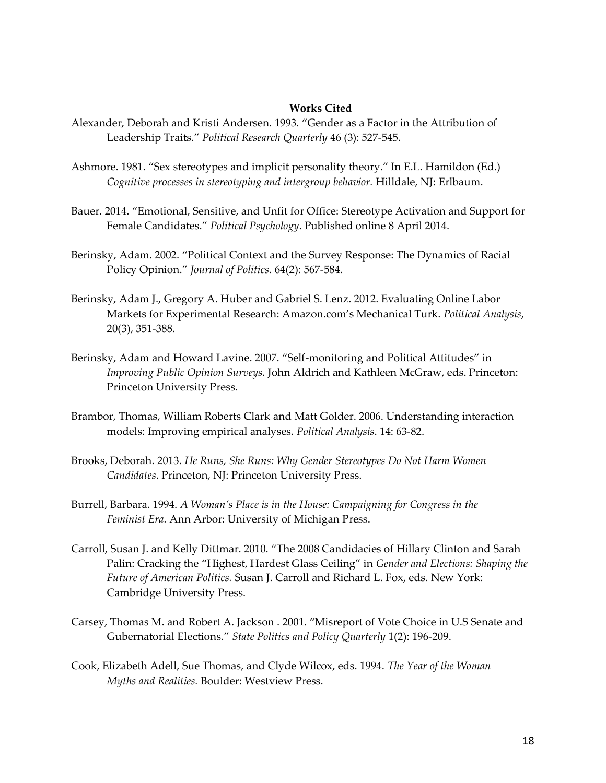### **Works Cited**

- Alexander, Deborah and Kristi Andersen. 1993. "Gender as a Factor in the Attribution of Leadership Traits." *Political Research Quarterly* 46 (3): 527-545.
- Ashmore. 1981. "Sex stereotypes and implicit personality theory." In E.L. Hamildon (Ed.) *Cognitive processes in stereotyping and intergroup behavior.* Hilldale, NJ: Erlbaum.
- Bauer. 2014. "Emotional, Sensitive, and Unfit for Office: Stereotype Activation and Support for Female Candidates." *Political Psychology*. Published online 8 April 2014.
- Berinsky, Adam. 2002. "Political Context and the Survey Response: The Dynamics of Racial Policy Opinion." *Journal of Politics*. 64(2): 567-584.
- Berinsky, Adam J., Gregory A. Huber and Gabriel S. Lenz. 2012. Evaluating Online Labor Markets for Experimental Research: Amazon.com's Mechanical Turk. *Political Analysis*, 20(3), 351-388.
- Berinsky, Adam and Howard Lavine. 2007. "Self-monitoring and Political Attitudes" in *Improving Public Opinion Surveys.* John Aldrich and Kathleen McGraw, eds. Princeton: Princeton University Press.
- Brambor, Thomas, William Roberts Clark and Matt Golder. 2006. Understanding interaction models: Improving empirical analyses. *Political Analysis*. 14: 63-82.
- Brooks, Deborah. 2013. *He Runs, She Runs: Why Gender Stereotypes Do Not Harm Women Candidates*. Princeton, NJ: Princeton University Press.
- Burrell, Barbara. 1994. *A Woman's Place is in the House: Campaigning for Congress in the Feminist Era.* Ann Arbor: University of Michigan Press.
- Carroll, Susan J. and Kelly Dittmar. 2010. "The 2008 Candidacies of Hillary Clinton and Sarah Palin: Cracking the "Highest, Hardest Glass Ceiling" in *Gender and Elections: Shaping the Future of American Politics.* Susan J. Carroll and Richard L. Fox, eds. New York: Cambridge University Press.
- Carsey, Thomas M. and Robert A. Jackson . 2001. "Misreport of Vote Choice in U.S Senate and Gubernatorial Elections." *State Politics and Policy Quarterly* 1(2): 196-209.
- Cook, Elizabeth Adell, Sue Thomas, and Clyde Wilcox, eds. 1994. *The Year of the Woman Myths and Realities.* Boulder: Westview Press.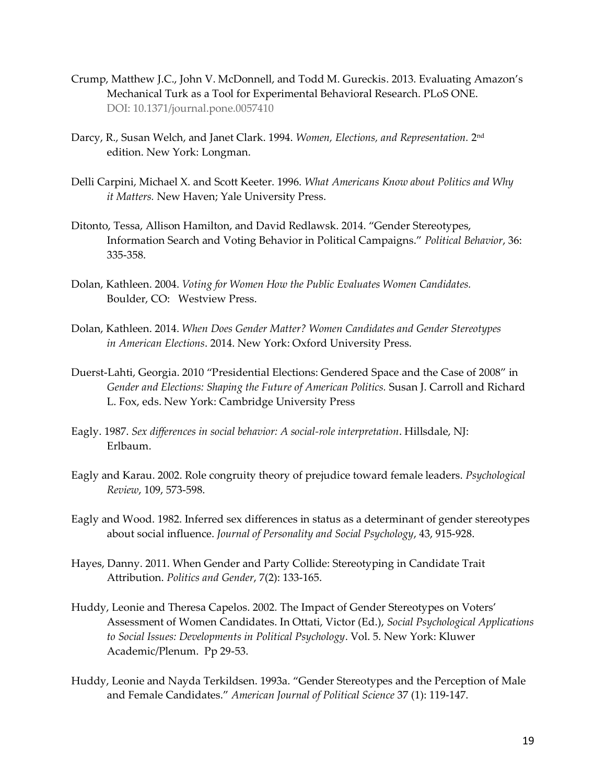- Crump, Matthew J.C., John V. McDonnell, and Todd M. Gureckis. 2013. Evaluating Amazon's Mechanical Turk as a Tool for Experimental Behavioral Research. PLoS ONE. DOI: 10.1371/journal.pone.0057410
- Darcy, R., Susan Welch, and Janet Clark. 1994. *Women, Elections, and Representation*. 2<u>nd</u> edition. New York: Longman.
- Delli Carpini, Michael X. and Scott Keeter. 1996. *What Americans Know about Politics and Why it Matters.* New Haven; Yale University Press.
- Ditonto, Tessa, Allison Hamilton, and David Redlawsk. 2014. "Gender Stereotypes, Information Search and Voting Behavior in Political Campaigns." *Political Behavior*, 36: 335-358.
- Dolan, Kathleen. 2004. *Voting for Women How the Public Evaluates Women Candidates.*  Boulder, CO: Westview Press.
- Dolan, Kathleen. 2014. *When Does Gender Matter? Women Candidates and Gender Stereotypes in American Elections*. 2014. New York: Oxford University Press.
- Duerst-Lahti, Georgia. 2010 "Presidential Elections: Gendered Space and the Case of 2008" in *Gender and Elections: Shaping the Future of American Politics.* Susan J. Carroll and Richard L. Fox, eds. New York: Cambridge University Press
- Eagly. 1987. *Sex differences in social behavior: A social-role interpretation*. Hillsdale, NJ: Erlbaum.
- Eagly and Karau. 2002. Role congruity theory of prejudice toward female leaders. *Psychological Review*, 109, 573-598.
- Eagly and Wood. 1982. Inferred sex differences in status as a determinant of gender stereotypes about social influence. *Journal of Personality and Social Psychology*, 43, 915-928.
- Hayes, Danny. 2011. When Gender and Party Collide: Stereotyping in Candidate Trait Attribution. *Politics and Gender*, 7(2): 133-165.
- Huddy, Leonie and Theresa Capelos. 2002*.* The Impact of Gender Stereotypes on Voters' Assessment of Women Candidates. In Ottati, Victor (Ed.), *Social Psychological Applications to Social Issues: Developments in Political Psychology*. Vol. 5. New York: Kluwer Academic/Plenum. Pp 29-53.
- Huddy, Leonie and Nayda Terkildsen. 1993a. "Gender Stereotypes and the Perception of Male and Female Candidates." *American Journal of Political Science* 37 (1): 119-147.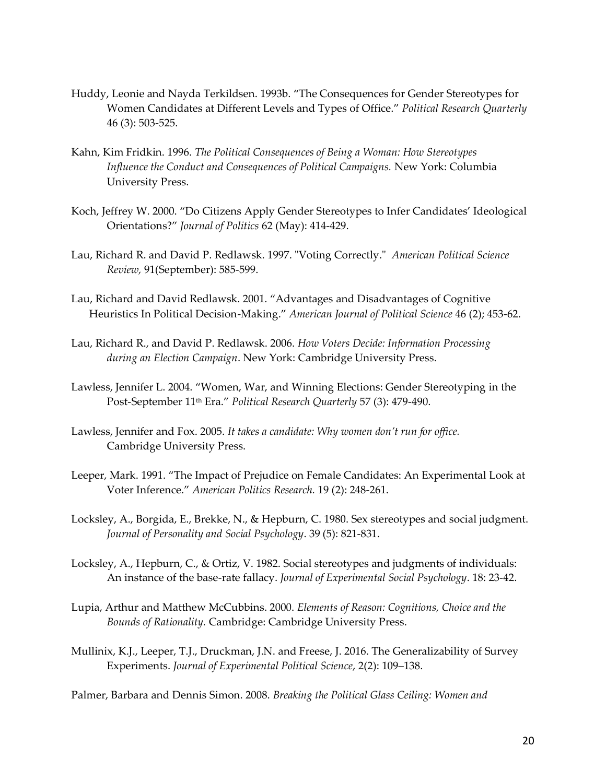- Huddy, Leonie and Nayda Terkildsen. 1993b. "The Consequences for Gender Stereotypes for Women Candidates at Different Levels and Types of Office." *Political Research Quarterly*  46 (3): 503-525.
- Kahn, Kim Fridkin. 1996. *The Political Consequences of Being a Woman: How Stereotypes Influence the Conduct and Consequences of Political Campaigns.* New York: Columbia University Press.
- Koch, Jeffrey W. 2000. "Do Citizens Apply Gender Stereotypes to Infer Candidates' Ideological Orientations?" *Journal of Politics* 62 (May): 414-429.
- Lau, Richard R. and David P. Redlawsk. 1997. "Voting Correctly." *American Political Science Review,* 91(September): 585-599.
- Lau, Richard and David Redlawsk. 2001. "Advantages and Disadvantages of Cognitive Heuristics In Political Decision-Making." *American Journal of Political Science* 46 (2); 453-62.
- Lau, Richard R., and David P. Redlawsk. 2006. *How Voters Decide: Information Processing during an Election Campaign*. New York: Cambridge University Press.
- Lawless, Jennifer L. 2004. "Women, War, and Winning Elections: Gender Stereotyping in the Post-September 11th Era." *Political Research Quarterly* 57 (3): 479-490.
- Lawless, Jennifer and Fox. 2005. *It takes a candidate: Why women don't run for office.*  Cambridge University Press.
- Leeper, Mark. 1991. "The Impact of Prejudice on Female Candidates: An Experimental Look at Voter Inference." *American Politics Research.* 19 (2): 248-261.
- Locksley, A., Borgida, E., Brekke, N., & Hepburn, C. 1980. Sex stereotypes and social judgment. *Journal of Personality and Social Psychology*. 39 (5): 821-831.
- Locksley, A., Hepburn, C., & Ortiz, V. 1982. Social stereotypes and judgments of individuals: An instance of the base-rate fallacy. *Journal of Experimental Social Psychology*. 18: 23-42.
- Lupia, Arthur and Matthew McCubbins. 2000. *Elements of Reason: Cognitions, Choice and the Bounds of Rationality.* Cambridge: Cambridge University Press.
- Mullinix, K.J., Leeper, T.J., Druckman, J.N. and Freese, J. 2016. The Generalizability of Survey Experiments. *Journal of Experimental Political Science*, 2(2): 109–138.

Palmer, Barbara and Dennis Simon. 2008. *Breaking the Political Glass Ceiling: Women and*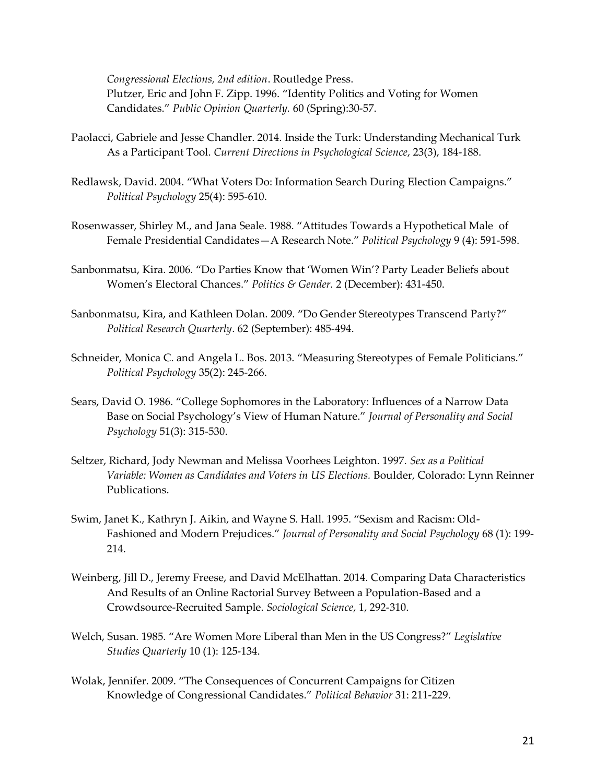*Congressional Elections, 2nd edition*. Routledge Press. Plutzer, Eric and John F. Zipp. 1996. "Identity Politics and Voting for Women Candidates." *Public Opinion Quarterly.* 60 (Spring):30-57.

- Paolacci, Gabriele and Jesse Chandler. 2014. Inside the Turk: Understanding Mechanical Turk As a Participant Tool. *Current Directions in Psychological Science*, 23(3), 184-188.
- Redlawsk, David. 2004. "What Voters Do: Information Search During Election Campaigns." *Political Psychology* 25(4): 595-610.
- Rosenwasser, Shirley M., and Jana Seale. 1988. "Attitudes Towards a Hypothetical Male of Female Presidential Candidates—A Research Note." *Political Psychology* 9 (4): 591-598.
- Sanbonmatsu, Kira. 2006. "Do Parties Know that 'Women Win'? Party Leader Beliefs about Women's Electoral Chances." *Politics & Gender.* 2 (December): 431-450.
- Sanbonmatsu, Kira, and Kathleen Dolan. 2009. "Do Gender Stereotypes Transcend Party?" *Political Research Quarterly*. 62 (September): 485-494.
- Schneider, Monica C. and Angela L. Bos. 2013. "Measuring Stereotypes of Female Politicians." *Political Psychology* 35(2): 245-266.
- Sears, David O. 1986. "College Sophomores in the Laboratory: Influences of a Narrow Data Base on Social Psychology's View of Human Nature." *Journal of Personality and Social Psychology* 51(3): 315-530.
- Seltzer, Richard, Jody Newman and Melissa Voorhees Leighton. 1997. *Sex as a Political Variable: Women as Candidates and Voters in US Elections.* Boulder, Colorado: Lynn Reinner Publications.
- Swim, Janet K., Kathryn J. Aikin, and Wayne S. Hall. 1995. "Sexism and Racism: Old-Fashioned and Modern Prejudices." *Journal of Personality and Social Psychology* 68 (1): 199- 214.
- Weinberg, Jill D., Jeremy Freese, and David McElhattan. 2014. Comparing Data Characteristics And Results of an Online Ractorial Survey Between a Population-Based and a Crowdsource-Recruited Sample. *Sociological Science*, 1, 292-310.
- Welch, Susan. 1985. "Are Women More Liberal than Men in the US Congress?" *Legislative Studies Quarterly* 10 (1): 125-134.
- Wolak, Jennifer. 2009. "The Consequences of Concurrent Campaigns for Citizen Knowledge of Congressional Candidates." *Political Behavior* 31: 211-229.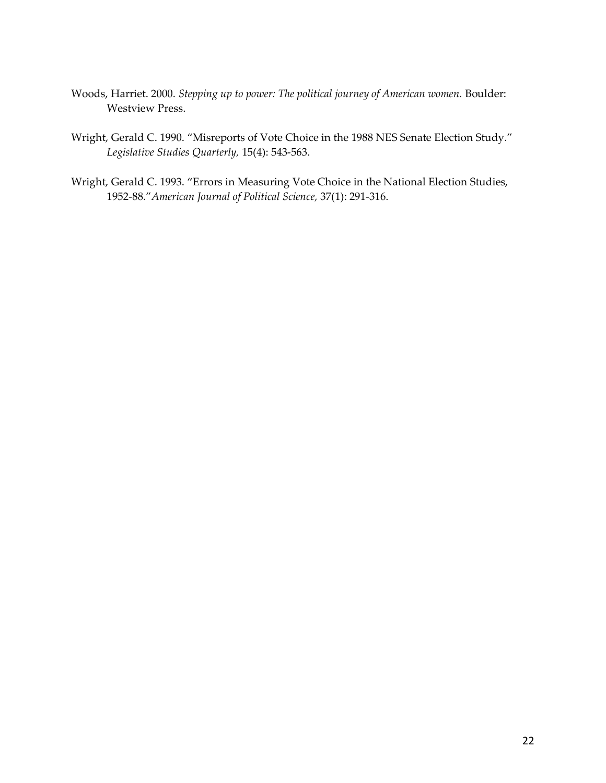- Woods, Harriet. 2000. *Stepping up to power: The political journey of American women.* Boulder: Westview Press.
- Wright, Gerald C. 1990. "Misreports of Vote Choice in the 1988 NES Senate Election Study." *Legislative Studies Quarterly,* 15(4): 543-563.
- Wright, Gerald C. 1993. "Errors in Measuring Vote Choice in the National Election Studies, 1952-88."*American Journal of Political Science,* 37(1): 291-316.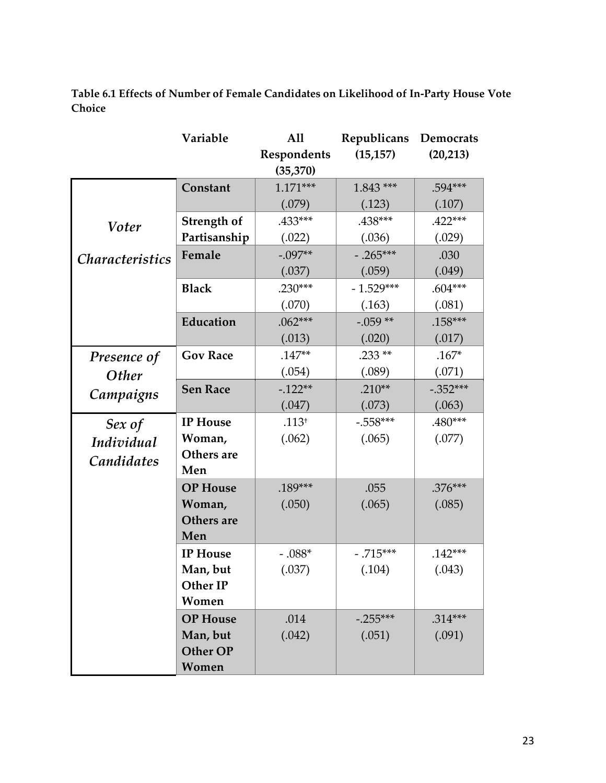**Table 6.1 Effects of Number of Female Candidates on Likelihood of In-Party House Vote Choice**

|                        | Variable        | All         | Republicans | Democrats  |
|------------------------|-----------------|-------------|-------------|------------|
|                        |                 | Respondents | (15, 157)   | (20, 213)  |
|                        |                 | (35, 370)   |             |            |
| <b>Voter</b>           | Constant        | $1.171***$  | $1.843$ *** | .594***    |
|                        |                 | (.079)      | (.123)      | (.107)     |
|                        | Strength of     | .433***     | .438***     | $.422***$  |
|                        | Partisanship    | (.022)      | (.036)      | (.029)     |
| <i>Characteristics</i> | Female          | $-.097**$   | $-.265***$  | .030       |
|                        |                 | (.037)      | (.059)      | (.049)     |
|                        | <b>Black</b>    | $.230***$   | $-1.529***$ | $.604***$  |
|                        |                 | (.070)      | (.163)      | (.081)     |
|                        | Education       | $.062***$   | $-.059**$   | $.158***$  |
|                        |                 | (.013)      | (.020)      | (.017)     |
| Presence of            | <b>Gov Race</b> | $.147**$    | $.233**$    | $.167*$    |
| <b>Other</b>           |                 | (.054)      | (.089)      | (.071)     |
| Campaigns              | <b>Sen Race</b> | $-122**$    | $.210**$    | $-.352***$ |
|                        |                 | (.047)      | (.073)      | (.063)     |
| Sex of                 | <b>IP</b> House | $.113^{+}$  | $-.558***$  | .480***    |
| Individual             | Woman,          | (.062)      | (.065)      | (.077)     |
| Candidates             | Others are      |             |             |            |
|                        | Men             |             |             |            |
|                        | <b>OP</b> House | .189***     | .055        | $.376***$  |
|                        | Woman,          | (.050)      | (.065)      | (.085)     |
|                        | Others are      |             |             |            |
|                        | Men             |             |             |            |
|                        | <b>IP</b> House | $-0.88^*$   | $-.715***$  | $.142***$  |
|                        | Man, but        | (.037)      | (.104)      | (.043)     |
|                        | Other IP        |             |             |            |
|                        | Women           |             |             |            |
|                        | <b>OP</b> House | .014        | $-.255***$  | $.314***$  |
|                        | Man, but        | (.042)      | (.051)      | (.091)     |
|                        | Other OP        |             |             |            |
|                        | Women           |             |             |            |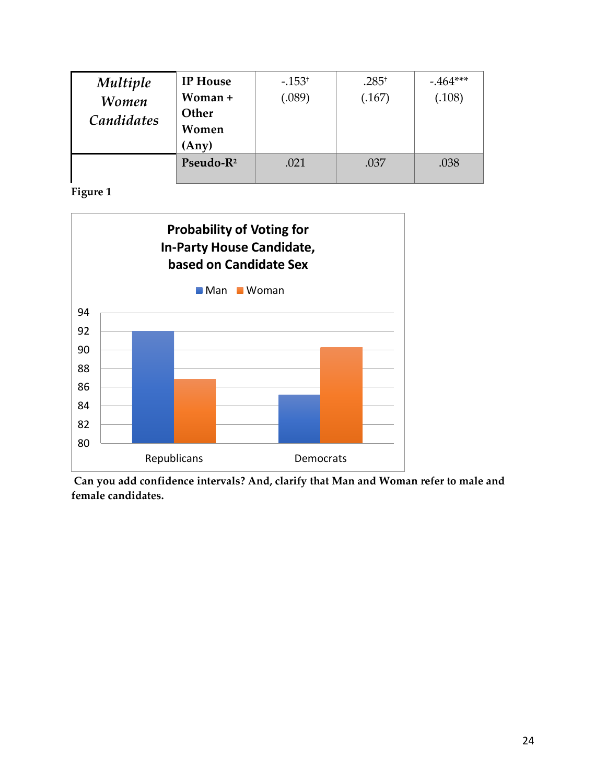| <b>Multiple</b><br><b>Women</b><br>Candidates | <b>IP</b> House<br>Woman +<br>Other<br>Women<br>(Any) | $-.153+$<br>(.089) | $.285^{+}$<br>(.167) | $-464***$<br>(.108) |
|-----------------------------------------------|-------------------------------------------------------|--------------------|----------------------|---------------------|
|                                               | Pseudo-R <sup>2</sup>                                 | .021               | .037                 | .038                |

**Figure 1**



**Can you add confidence intervals? And, clarify that Man and Woman refer to male and female candidates.**